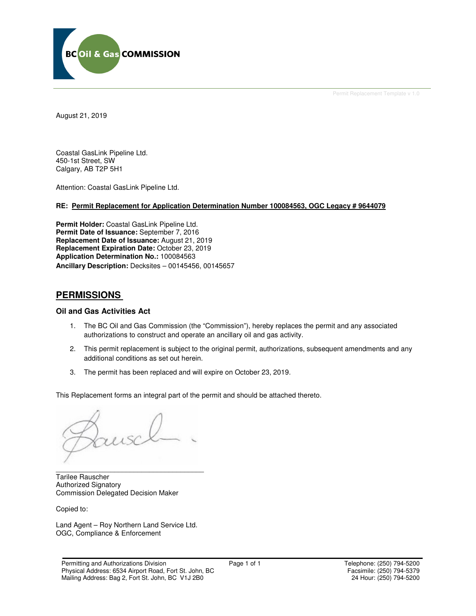

Permit Replacement Template v 1.0

August 21, 2019

Coastal GasLink Pipeline Ltd. 450-1st Street, SW Calgary, AB T2P 5H1

Attention: Coastal GasLink Pipeline Ltd.

## **RE: Permit Replacement for Application Determination Number 100084563, OGC Legacy # 9644079**

**Permit Holder:** Coastal GasLink Pipeline Ltd. **Permit Date of Issuance:** September 7, 2016 **Replacement Date of Issuance:** August 21, 2019 **Replacement Expiration Date:** October 23, 2019 **Application Determination No.:** 100084563 **Ancillary Description:** Decksites – 00145456, 00145657

## **PERMISSIONS**

## **Oil and Gas Activities Act**

- 1. The BC Oil and Gas Commission (the "Commission"), hereby replaces the permit and any associated authorizations to construct and operate an ancillary oil and gas activity.
- 2. This permit replacement is subject to the original permit, authorizations, subsequent amendments and any additional conditions as set out herein.
- 3. The permit has been replaced and will expire on October 23, 2019.

This Replacement forms an integral part of the permit and should be attached thereto.

\_\_\_\_\_\_\_\_\_\_\_\_\_\_\_\_\_\_\_\_\_\_\_\_\_\_\_\_\_\_\_\_\_\_\_\_\_\_ Tarilee Rauscher Authorized Signatory Commission Delegated Decision Maker

Copied to:

Land Agent – Roy Northern Land Service Ltd. OGC, Compliance & Enforcement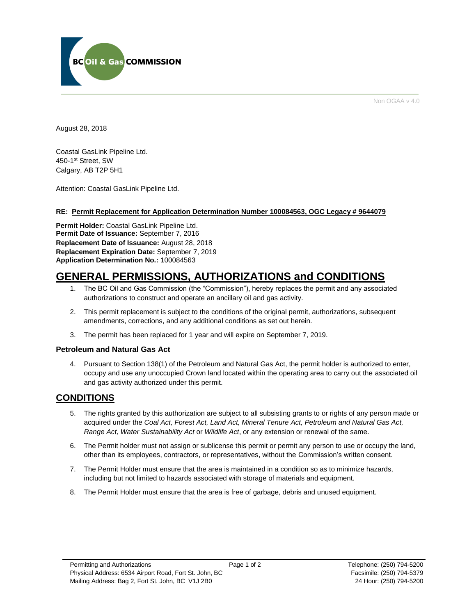

Non OGAA v 4.0

August 28, 2018

Coastal GasLink Pipeline Ltd. 450-1st Street, SW Calgary, AB T2P 5H1

Attention: Coastal GasLink Pipeline Ltd.

#### **RE: Permit Replacement for Application Determination Number 100084563, OGC Legacy # 9644079**

**Permit Holder:** Coastal GasLink Pipeline Ltd. **Permit Date of Issuance:** September 7, 2016 **Replacement Date of Issuance:** August 28, 2018 **Replacement Expiration Date:** September 7, 2019 **Application Determination No.:** 100084563

# **GENERAL PERMISSIONS, AUTHORIZATIONS and CONDITIONS**

- 1. The BC Oil and Gas Commission (the "Commission"), hereby replaces the permit and any associated authorizations to construct and operate an ancillary oil and gas activity.
- 2. This permit replacement is subject to the conditions of the original permit, authorizations, subsequent amendments, corrections, and any additional conditions as set out herein.
- 3. The permit has been replaced for 1 year and will expire on September 7, 2019.

## **Petroleum and Natural Gas Act**

4. Pursuant to Section 138(1) of the Petroleum and Natural Gas Act, the permit holder is authorized to enter, occupy and use any unoccupied Crown land located within the operating area to carry out the associated oil and gas activity authorized under this permit.

## **CONDITIONS**

- 5. The rights granted by this authorization are subject to all subsisting grants to or rights of any person made or acquired under the *Coal Act, Forest Act, Land Act, Mineral Tenure Act, Petroleum and Natural Gas Act, Range Act, Water Sustainability Act* or *Wildlife Act*, or any extension or renewal of the same.
- 6. The Permit holder must not assign or sublicense this permit or permit any person to use or occupy the land, other than its employees, contractors, or representatives, without the Commission's written consent.
- 7. The Permit Holder must ensure that the area is maintained in a condition so as to minimize hazards, including but not limited to hazards associated with storage of materials and equipment.
- 8. The Permit Holder must ensure that the area is free of garbage, debris and unused equipment.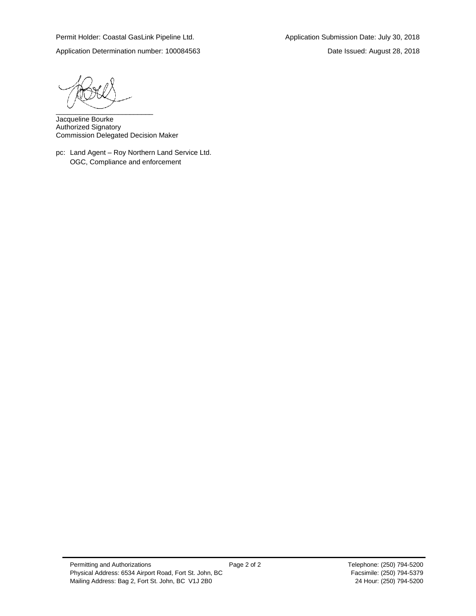Application Determination number: 100084563 Date Issued: August 28, 2018

\_\_\_\_\_\_\_\_\_\_\_\_\_\_\_\_\_\_\_\_\_\_\_\_\_

Jacqueline Bourke Authorized Signatory Commission Delegated Decision Maker

pc: Land Agent – Roy Northern Land Service Ltd. OGC, Compliance and enforcement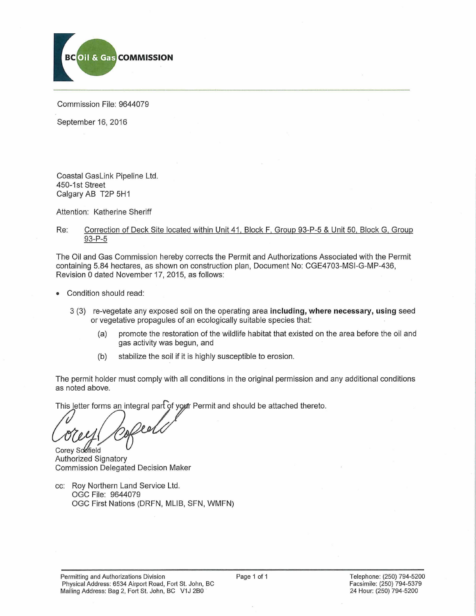

Commission File: 9644079

September 16, 2016

Coastal GasLink Pipeline Ltd. 450-1st Street Calgary AB T2P 5H1

Attention: Katherine Sheriff

## Re: Correction of Deck Site located within Unit 41. Block F, Group 93-P-5 & Unit 50, Block G, Group 93-P-5

The Oil and Gas Commission hereby corrects the Permit and Authorizations Associated with the Permit containing 5.84 hectares, as shown on construction plan, Document No: CGE4703-MSI-G-MP-436, Revision 0 dated November 17, 2015, as follows:

- Condition should read:
	- 3 (3) re-vegetate any exposed soil on the operating area **including, where necessary, using** seed or vegetative propagules of an ecologically suitable species that:
		- (a) promote the restoration of the wildlife habitat that existed on the area before the oil and gas activity was begun, and
		- (b) stabilize the soil if it is highly susceptible to erosion.

The permit holder must comply with all conditions in the original permission and any additional conditions as noted above.

This letter forms an integral part of yo*y*tr Permit and should be attached thereto.

Corey Soofield

Authorized Signatory Commission Delegated Decision Maker

cc: Roy Northern Land Service Ltd. OGC File: 9644079 OGC First Nations (DRFN, MLIB, SFN, WMFN)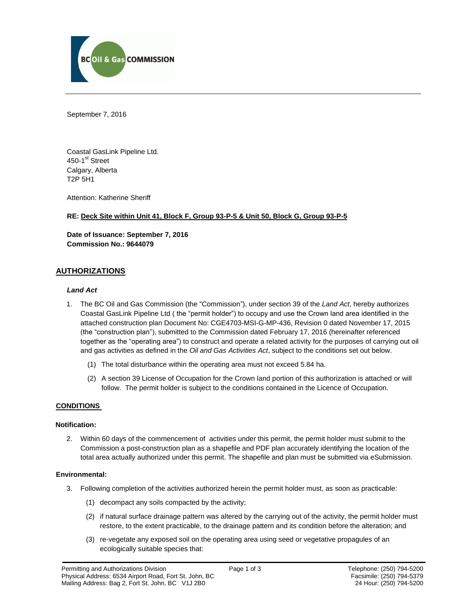

September 7, 2016

Coastal GasLink Pipeline Ltd. 450-1<sup>st</sup> Street Calgary, Alberta T2P 5H1

Attention: Katherine Sheriff

## **RE: Deck Site within Unit 41, Block F, Group 93-P-5 & Unit 50, Block G, Group 93-P-5**

**Date of Issuance: September 7, 2016 Commission No.: 9644079**

## **AUTHORIZATIONS**

#### *Land Act*

- 1. The BC Oil and Gas Commission (the "Commission"), under section 39 of the *Land Act*, hereby authorizes Coastal GasLink Pipeline Ltd ( the "permit holder") to occupy and use the Crown land area identified in the attached construction plan Document No: CGE4703-MSI-G-MP-436, Revision 0 dated November 17, 2015 (the "construction plan"), submitted to the Commission dated February 17, 2016 (hereinafter referenced together as the "operating area") to construct and operate a related activity for the purposes of carrying out oil and gas activities as defined in the *Oil and Gas Activities Act*, subject to the conditions set out below.
	- (1) The total disturbance within the operating area must not exceed 5.84 ha.
	- (2) A section 39 License of Occupation for the Crown land portion of this authorization is attached or will follow. The permit holder is subject to the conditions contained in the Licence of Occupation.

## **CONDITIONS**

#### **Notification:**

2. Within 60 days of the commencement of activities under this permit, the permit holder must submit to the Commission a post-construction plan as a shapefile and PDF plan accurately identifying the location of the total area actually authorized under this permit. The shapefile and plan must be submitted via eSubmission.

#### **Environmental:**

- 3. Following completion of the activities authorized herein the permit holder must, as soon as practicable:
	- (1) decompact any soils compacted by the activity;
	- (2) if natural surface drainage pattern was altered by the carrying out of the activity, the permit holder must restore, to the extent practicable, to the drainage pattern and its condition before the alteration; and
	- (3) re-vegetate any exposed soil on the operating area using seed or vegetative propagules of an ecologically suitable species that: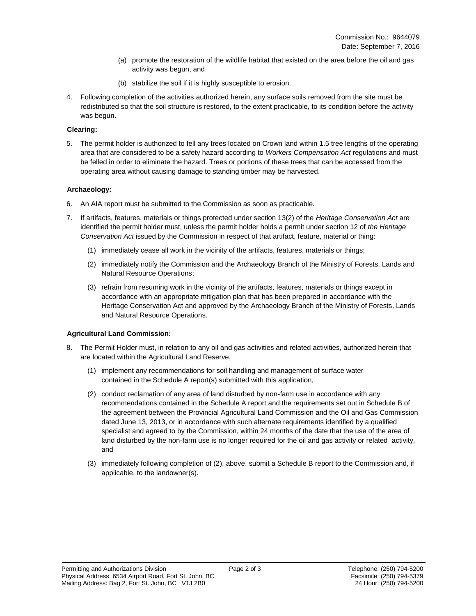- (a) promote the restoration of the wildlife habitat that existed on the area before the oil and gas activity was begun, and
- (b) stabilize the soil if it is highly susceptible to erosion.
- 4. Following completion of the activities authorized herein, any surface soils removed from the site must be redistributed so that the soil structure is restored, to the extent practicable, to its condition before the activity was begun.

## **Clearing:**

5. The permit holder is authorized to fell any trees located on Crown land within 1.5 tree lengths of the operating area that are considered to be a safety hazard according to *Workers Compensation Act* regulations and must be felled in order to eliminate the hazard. Trees or portions of these trees that can be accessed from the operating area without causing damage to standing timber may be harvested.

## **Archaeology:**

- 6. An AIA report must be submitted to the Commission as soon as practicable.
- 7. If artifacts, features, materials or things protected under section 13(2) of the *Heritage Conservation Act* are identified the permit holder must, unless the permit holder holds a permit under section 12 of *the Heritage Conservation Act* issued by the Commission in respect of that artifact, feature, material or thing:
	- (1) immediately cease all work in the vicinity of the artifacts, features, materials or things;
	- (2) immediately notify the Commission and the Archaeology Branch of the Ministry of Forests, Lands and Natural Resource Operations;
	- (3) refrain from resuming work in the vicinity of the artifacts, features, materials or things except in accordance with an appropriate mitigation plan that has been prepared in accordance with the Heritage Conservation Act and approved by the Archaeology Branch of the Ministry of Forests, Lands and Natural Resource Operations.

## **Agricultural Land Commission:**

- 8. The Permit Holder must, in relation to any oil and gas activities and related activities, authorized herein that are located within the Agricultural Land Reserve,
	- (1) implement any recommendations for soil handling and management of surface water contained in the Schedule A report(s) submitted with this application,
	- (2) conduct reclamation of any area of land disturbed by non-farm use in accordance with any recommendations contained in the Schedule A report and the requirements set out in Schedule B of the agreement between the Provincial Agricultural Land Commission and the Oil and Gas Commission dated June 13, 2013, or in accordance with such alternate requirements identified by a qualified specialist and agreed to by the Commission, within 24 months of the date that the use of the area of land disturbed by the non-farm use is no longer required for the oil and gas activity or related activity, and
	- (3) immediately following completion of (2), above, submit a Schedule B report to the Commission and, if applicable, to the landowner(s).